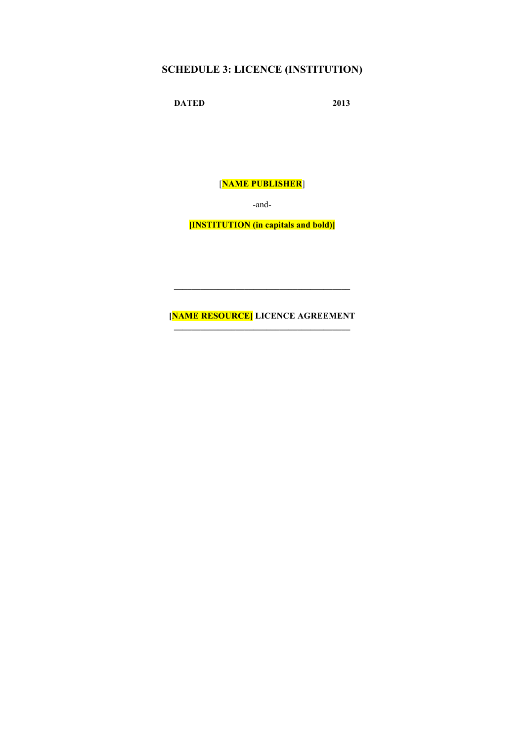## **SCHEDULE 3: LICENCE (INSTITUTION)**

**DATED 2013**

[**NAME PUBLISHER**]

-and-

**[INSTITUTION (in capitals and bold)]**

**[NAME RESOURCE] LICENCE AGREEMENT**

 $\mathcal{L}=\{1,2,3,4,5\}$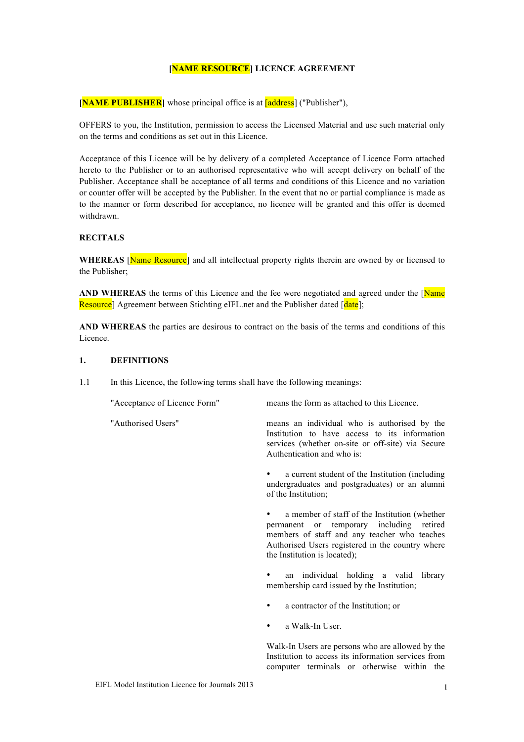## **[NAME RESOURCE] LICENCE AGREEMENT**

**[NAME PUBLISHER]** whose principal office is at **[address]** ("Publisher"),

OFFERS to you, the Institution, permission to access the Licensed Material and use such material only on the terms and conditions as set out in this Licence.

Acceptance of this Licence will be by delivery of a completed Acceptance of Licence Form attached hereto to the Publisher or to an authorised representative who will accept delivery on behalf of the Publisher. Acceptance shall be acceptance of all terms and conditions of this Licence and no variation or counter offer will be accepted by the Publisher. In the event that no or partial compliance is made as to the manner or form described for acceptance, no licence will be granted and this offer is deemed withdrawn.

## **RECITALS**

WHEREAS **Name Resource**] and all intellectual property rights therein are owned by or licensed to the Publisher;

AND WHEREAS the terms of this Licence and the fee were negotiated and agreed under the [Name] Resource] Agreement between Stichting eIFL net and the Publisher dated [date]:

**AND WHEREAS** the parties are desirous to contract on the basis of the terms and conditions of this Licence.

#### **1. DEFINITIONS**

1.1 In this Licence, the following terms shall have the following meanings:

"Acceptance of Licence Form" means the form as attached to this Licence. "Authorised Users" means an individual who is authorised by the Institution to have access to its information services (whether on-site or off-site) via Secure Authentication and who is: a current student of the Institution (including undergraduates and postgraduates) or an alumni of the Institution; a member of staff of the Institution (whether permanent or temporary including retired members of staff and any teacher who teaches Authorised Users registered in the country where the Institution is located);

> an individual holding a valid library membership card issued by the Institution;

- a contractor of the Institution; or
- a Walk-In User.

Walk-In Users are persons who are allowed by the Institution to access its information services from computer terminals or otherwise within the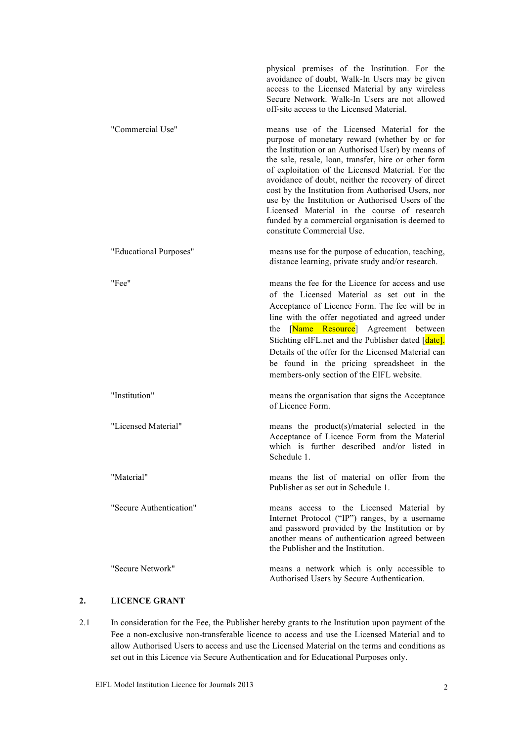physical premises of the Institution. For the avoidance of doubt, Walk-In Users may be given access to the Licensed Material by any wireless Secure Network. Walk-In Users are not allowed off-site access to the Licensed Material. "Commercial Use" means use of the Licensed Material for the purpose of monetary reward (whether by or for the Institution or an Authorised User) by means of the sale, resale, loan, transfer, hire or other form of exploitation of the Licensed Material. For the avoidance of doubt, neither the recovery of direct cost by the Institution from Authorised Users, nor use by the Institution or Authorised Users of the Licensed Material in the course of research funded by a commercial organisation is deemed to constitute Commercial Use. "Educational Purposes" means use for the purpose of education, teaching, distance learning, private study and/or research. "Fee" means the fee for the Licence for access and use of the Licensed Material as set out in the Acceptance of Licence Form. The fee will be in line with the offer negotiated and agreed under the [Name Resource] Agreement between Stichting eIFL.net and the Publisher dated [date]. Details of the offer for the Licensed Material can be found in the pricing spreadsheet in the members-only section of the EIFL website. "Institution" means the organisation that signs the Acceptance of Licence Form. "Licensed Material" means the product(s)/material selected in the Acceptance of Licence Form from the Material which is further described and/or listed in Schedule 1. "Material" means the list of material on offer from the Publisher as set out in Schedule 1. "Secure Authentication" means access to the Licensed Material by Internet Protocol ("IP") ranges, by a username and password provided by the Institution or by another means of authentication agreed between the Publisher and the Institution. "Secure Network" means a network which is only accessible to Authorised Users by Secure Authentication.

## **2. LICENCE GRANT**

2.1 In consideration for the Fee, the Publisher hereby grants to the Institution upon payment of the Fee a non-exclusive non-transferable licence to access and use the Licensed Material and to allow Authorised Users to access and use the Licensed Material on the terms and conditions as set out in this Licence via Secure Authentication and for Educational Purposes only.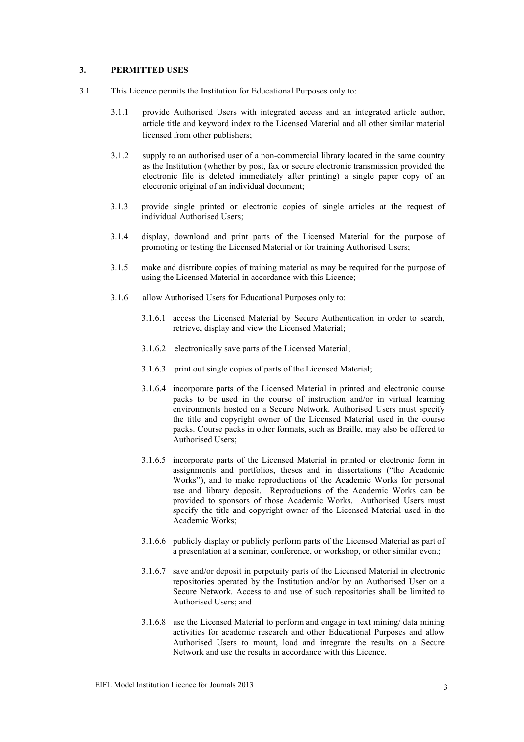#### **3. PERMITTED USES**

- 3.1 This Licence permits the Institution for Educational Purposes only to:
	- 3.1.1 provide Authorised Users with integrated access and an integrated article author, article title and keyword index to the Licensed Material and all other similar material licensed from other publishers;
	- 3.1.2 supply to an authorised user of a non-commercial library located in the same country as the Institution (whether by post, fax or secure electronic transmission provided the electronic file is deleted immediately after printing) a single paper copy of an electronic original of an individual document;
	- 3.1.3 provide single printed or electronic copies of single articles at the request of individual Authorised Users;
	- 3.1.4 display, download and print parts of the Licensed Material for the purpose of promoting or testing the Licensed Material or for training Authorised Users;
	- 3.1.5 make and distribute copies of training material as may be required for the purpose of using the Licensed Material in accordance with this Licence;
	- 3.1.6 allow Authorised Users for Educational Purposes only to:
		- 3.1.6.1 access the Licensed Material by Secure Authentication in order to search, retrieve, display and view the Licensed Material;
		- 3.1.6.2 electronically save parts of the Licensed Material;
		- 3.1.6.3 print out single copies of parts of the Licensed Material;
		- 3.1.6.4 incorporate parts of the Licensed Material in printed and electronic course packs to be used in the course of instruction and/or in virtual learning environments hosted on a Secure Network. Authorised Users must specify the title and copyright owner of the Licensed Material used in the course packs. Course packs in other formats, such as Braille, may also be offered to Authorised Users;
		- 3.1.6.5 incorporate parts of the Licensed Material in printed or electronic form in assignments and portfolios, theses and in dissertations ("the Academic Works"), and to make reproductions of the Academic Works for personal use and library deposit. Reproductions of the Academic Works can be provided to sponsors of those Academic Works. Authorised Users must specify the title and copyright owner of the Licensed Material used in the Academic Works;
		- 3.1.6.6 publicly display or publicly perform parts of the Licensed Material as part of a presentation at a seminar, conference, or workshop, or other similar event;
		- 3.1.6.7 save and/or deposit in perpetuity parts of the Licensed Material in electronic repositories operated by the Institution and/or by an Authorised User on a Secure Network. Access to and use of such repositories shall be limited to Authorised Users; and
		- 3.1.6.8 use the Licensed Material to perform and engage in text mining/ data mining activities for academic research and other Educational Purposes and allow Authorised Users to mount, load and integrate the results on a Secure Network and use the results in accordance with this Licence.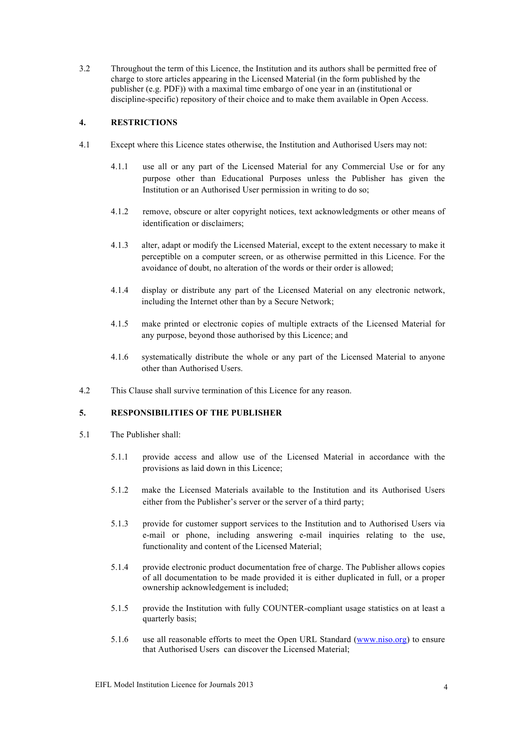3.2 Throughout the term of this Licence, the Institution and its authors shall be permitted free of charge to store articles appearing in the Licensed Material (in the form published by the publisher (e.g. PDF)) with a maximal time embargo of one year in an (institutional or discipline-specific) repository of their choice and to make them available in Open Access.

## **4. RESTRICTIONS**

- 4.1 Except where this Licence states otherwise, the Institution and Authorised Users may not:
	- 4.1.1 use all or any part of the Licensed Material for any Commercial Use or for any purpose other than Educational Purposes unless the Publisher has given the Institution or an Authorised User permission in writing to do so;
	- 4.1.2 remove, obscure or alter copyright notices, text acknowledgments or other means of identification or disclaimers;
	- 4.1.3 alter, adapt or modify the Licensed Material, except to the extent necessary to make it perceptible on a computer screen, or as otherwise permitted in this Licence. For the avoidance of doubt, no alteration of the words or their order is allowed;
	- 4.1.4 display or distribute any part of the Licensed Material on any electronic network, including the Internet other than by a Secure Network;
	- 4.1.5 make printed or electronic copies of multiple extracts of the Licensed Material for any purpose, beyond those authorised by this Licence; and
	- 4.1.6 systematically distribute the whole or any part of the Licensed Material to anyone other than Authorised Users.
- 4.2 This Clause shall survive termination of this Licence for any reason.

## **5. RESPONSIBILITIES OF THE PUBLISHER**

- 5.1 The Publisher shall:
	- 5.1.1 provide access and allow use of the Licensed Material in accordance with the provisions as laid down in this Licence;
	- 5.1.2 make the Licensed Materials available to the Institution and its Authorised Users either from the Publisher's server or the server of a third party;
	- 5.1.3 provide for customer support services to the Institution and to Authorised Users via e-mail or phone, including answering e-mail inquiries relating to the use, functionality and content of the Licensed Material;
	- 5.1.4 provide electronic product documentation free of charge. The Publisher allows copies of all documentation to be made provided it is either duplicated in full, or a proper ownership acknowledgement is included;
	- 5.1.5 provide the Institution with fully COUNTER-compliant usage statistics on at least a quarterly basis;
	- 5.1.6 use all reasonable efforts to meet the Open URL Standard (www.niso.org) to ensure that Authorised Users can discover the Licensed Material;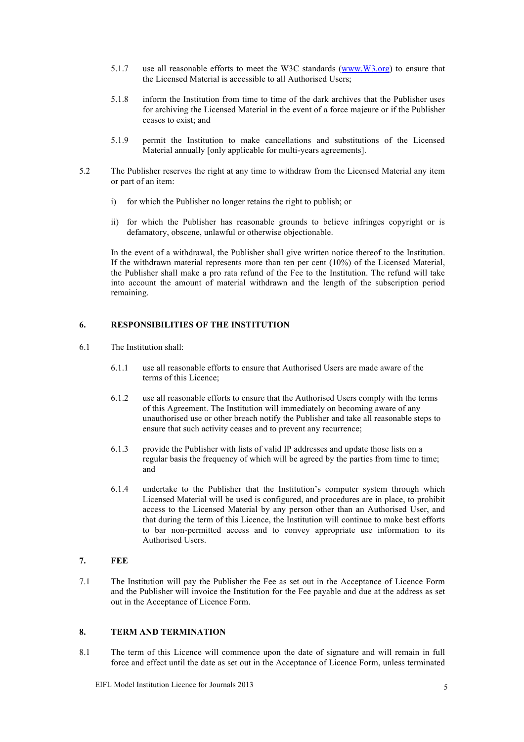- 5.1.7 use all reasonable efforts to meet the W3C standards (www.W3.org) to ensure that the Licensed Material is accessible to all Authorised Users;
- 5.1.8 inform the Institution from time to time of the dark archives that the Publisher uses for archiving the Licensed Material in the event of a force majeure or if the Publisher ceases to exist; and
- 5.1.9 permit the Institution to make cancellations and substitutions of the Licensed Material annually [only applicable for multi-years agreements].
- 5.2 The Publisher reserves the right at any time to withdraw from the Licensed Material any item or part of an item:
	- i) for which the Publisher no longer retains the right to publish; or
	- ii) for which the Publisher has reasonable grounds to believe infringes copyright or is defamatory, obscene, unlawful or otherwise objectionable.

In the event of a withdrawal, the Publisher shall give written notice thereof to the Institution. If the withdrawn material represents more than ten per cent (10%) of the Licensed Material, the Publisher shall make a pro rata refund of the Fee to the Institution. The refund will take into account the amount of material withdrawn and the length of the subscription period remaining.

## **6. RESPONSIBILITIES OF THE INSTITUTION**

- 6.1 The Institution shall:
	- 6.1.1 use all reasonable efforts to ensure that Authorised Users are made aware of the terms of this Licence;
	- 6.1.2 use all reasonable efforts to ensure that the Authorised Users comply with the terms of this Agreement. The Institution will immediately on becoming aware of any unauthorised use or other breach notify the Publisher and take all reasonable steps to ensure that such activity ceases and to prevent any recurrence;
	- 6.1.3 provide the Publisher with lists of valid IP addresses and update those lists on a regular basis the frequency of which will be agreed by the parties from time to time; and
	- 6.1.4 undertake to the Publisher that the Institution's computer system through which Licensed Material will be used is configured, and procedures are in place, to prohibit access to the Licensed Material by any person other than an Authorised User, and that during the term of this Licence, the Institution will continue to make best efforts to bar non-permitted access and to convey appropriate use information to its Authorised Users.

#### **7. FEE**

7.1 The Institution will pay the Publisher the Fee as set out in the Acceptance of Licence Form and the Publisher will invoice the Institution for the Fee payable and due at the address as set out in the Acceptance of Licence Form.

## **8. TERM AND TERMINATION**

8.1 The term of this Licence will commence upon the date of signature and will remain in full force and effect until the date as set out in the Acceptance of Licence Form, unless terminated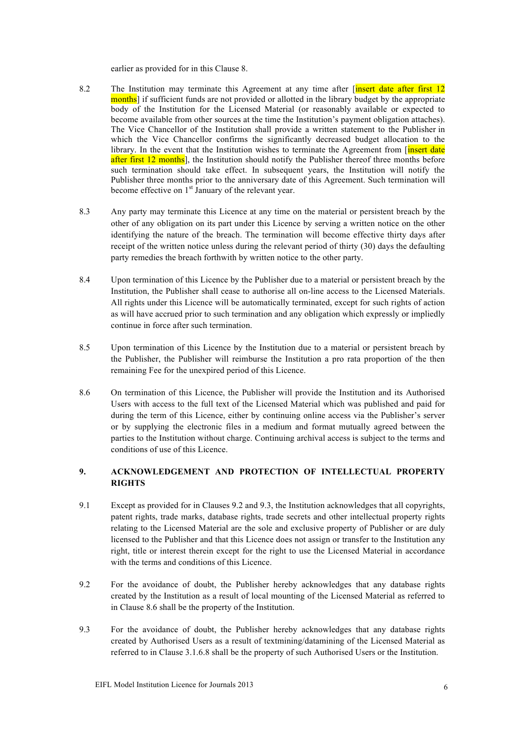earlier as provided for in this Clause 8.

- 8.2 The Institution may terminate this Agreement at any time after [insert date after first 12 months] if sufficient funds are not provided or allotted in the library budget by the appropriate body of the Institution for the Licensed Material (or reasonably available or expected to become available from other sources at the time the Institution's payment obligation attaches). The Vice Chancellor of the Institution shall provide a written statement to the Publisher in which the Vice Chancellor confirms the significantly decreased budget allocation to the library. In the event that the Institution wishes to terminate the Agreement from [insert date after first 12 months], the Institution should notify the Publisher thereof three months before such termination should take effect. In subsequent years, the Institution will notify the Publisher three months prior to the anniversary date of this Agreement. Such termination will become effective on  $1<sup>st</sup>$  January of the relevant year.
- 8.3 Any party may terminate this Licence at any time on the material or persistent breach by the other of any obligation on its part under this Licence by serving a written notice on the other identifying the nature of the breach. The termination will become effective thirty days after receipt of the written notice unless during the relevant period of thirty (30) days the defaulting party remedies the breach forthwith by written notice to the other party.
- 8.4 Upon termination of this Licence by the Publisher due to a material or persistent breach by the Institution, the Publisher shall cease to authorise all on-line access to the Licensed Materials. All rights under this Licence will be automatically terminated, except for such rights of action as will have accrued prior to such termination and any obligation which expressly or impliedly continue in force after such termination.
- 8.5 Upon termination of this Licence by the Institution due to a material or persistent breach by the Publisher, the Publisher will reimburse the Institution a pro rata proportion of the then remaining Fee for the unexpired period of this Licence.
- 8.6 On termination of this Licence, the Publisher will provide the Institution and its Authorised Users with access to the full text of the Licensed Material which was published and paid for during the term of this Licence, either by continuing online access via the Publisher's server or by supplying the electronic files in a medium and format mutually agreed between the parties to the Institution without charge. Continuing archival access is subject to the terms and conditions of use of this Licence.

## **9. ACKNOWLEDGEMENT AND PROTECTION OF INTELLECTUAL PROPERTY RIGHTS**

- 9.1 Except as provided for in Clauses 9.2 and 9.3, the Institution acknowledges that all copyrights, patent rights, trade marks, database rights, trade secrets and other intellectual property rights relating to the Licensed Material are the sole and exclusive property of Publisher or are duly licensed to the Publisher and that this Licence does not assign or transfer to the Institution any right, title or interest therein except for the right to use the Licensed Material in accordance with the terms and conditions of this Licence.
- 9.2 For the avoidance of doubt, the Publisher hereby acknowledges that any database rights created by the Institution as a result of local mounting of the Licensed Material as referred to in Clause 8.6 shall be the property of the Institution.
- 9.3 For the avoidance of doubt, the Publisher hereby acknowledges that any database rights created by Authorised Users as a result of textmining/datamining of the Licensed Material as referred to in Clause 3.1.6.8 shall be the property of such Authorised Users or the Institution.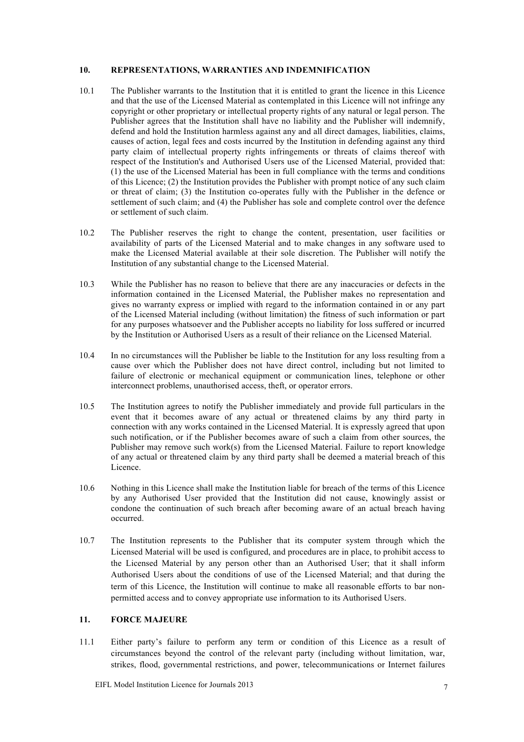## **10. REPRESENTATIONS, WARRANTIES AND INDEMNIFICATION**

- 10.1 The Publisher warrants to the Institution that it is entitled to grant the licence in this Licence and that the use of the Licensed Material as contemplated in this Licence will not infringe any copyright or other proprietary or intellectual property rights of any natural or legal person. The Publisher agrees that the Institution shall have no liability and the Publisher will indemnify, defend and hold the Institution harmless against any and all direct damages, liabilities, claims, causes of action, legal fees and costs incurred by the Institution in defending against any third party claim of intellectual property rights infringements or threats of claims thereof with respect of the Institution's and Authorised Users use of the Licensed Material, provided that: (1) the use of the Licensed Material has been in full compliance with the terms and conditions of this Licence; (2) the Institution provides the Publisher with prompt notice of any such claim or threat of claim; (3) the Institution co-operates fully with the Publisher in the defence or settlement of such claim; and (4) the Publisher has sole and complete control over the defence or settlement of such claim.
- 10.2 The Publisher reserves the right to change the content, presentation, user facilities or availability of parts of the Licensed Material and to make changes in any software used to make the Licensed Material available at their sole discretion. The Publisher will notify the Institution of any substantial change to the Licensed Material.
- 10.3 While the Publisher has no reason to believe that there are any inaccuracies or defects in the information contained in the Licensed Material, the Publisher makes no representation and gives no warranty express or implied with regard to the information contained in or any part of the Licensed Material including (without limitation) the fitness of such information or part for any purposes whatsoever and the Publisher accepts no liability for loss suffered or incurred by the Institution or Authorised Users as a result of their reliance on the Licensed Material.
- 10.4 In no circumstances will the Publisher be liable to the Institution for any loss resulting from a cause over which the Publisher does not have direct control, including but not limited to failure of electronic or mechanical equipment or communication lines, telephone or other interconnect problems, unauthorised access, theft, or operator errors.
- 10.5 The Institution agrees to notify the Publisher immediately and provide full particulars in the event that it becomes aware of any actual or threatened claims by any third party in connection with any works contained in the Licensed Material. It is expressly agreed that upon such notification, or if the Publisher becomes aware of such a claim from other sources, the Publisher may remove such work(s) from the Licensed Material. Failure to report knowledge of any actual or threatened claim by any third party shall be deemed a material breach of this Licence.
- 10.6 Nothing in this Licence shall make the Institution liable for breach of the terms of this Licence by any Authorised User provided that the Institution did not cause, knowingly assist or condone the continuation of such breach after becoming aware of an actual breach having occurred.
- 10.7 The Institution represents to the Publisher that its computer system through which the Licensed Material will be used is configured, and procedures are in place, to prohibit access to the Licensed Material by any person other than an Authorised User; that it shall inform Authorised Users about the conditions of use of the Licensed Material; and that during the term of this Licence, the Institution will continue to make all reasonable efforts to bar nonpermitted access and to convey appropriate use information to its Authorised Users.

## **11. FORCE MAJEURE**

11.1 Either party's failure to perform any term or condition of this Licence as a result of circumstances beyond the control of the relevant party (including without limitation, war, strikes, flood, governmental restrictions, and power, telecommunications or Internet failures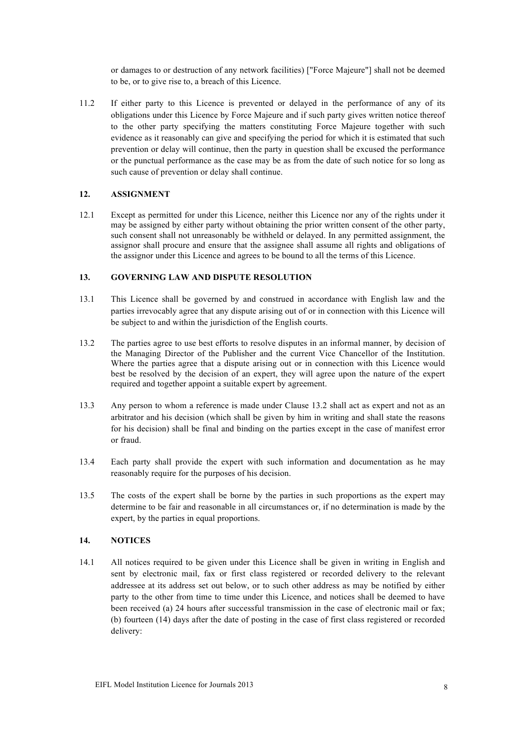or damages to or destruction of any network facilities) ["Force Majeure"] shall not be deemed to be, or to give rise to, a breach of this Licence.

11.2 If either party to this Licence is prevented or delayed in the performance of any of its obligations under this Licence by Force Majeure and if such party gives written notice thereof to the other party specifying the matters constituting Force Majeure together with such evidence as it reasonably can give and specifying the period for which it is estimated that such prevention or delay will continue, then the party in question shall be excused the performance or the punctual performance as the case may be as from the date of such notice for so long as such cause of prevention or delay shall continue.

## **12. ASSIGNMENT**

12.1 Except as permitted for under this Licence, neither this Licence nor any of the rights under it may be assigned by either party without obtaining the prior written consent of the other party, such consent shall not unreasonably be withheld or delayed. In any permitted assignment, the assignor shall procure and ensure that the assignee shall assume all rights and obligations of the assignor under this Licence and agrees to be bound to all the terms of this Licence.

## **13. GOVERNING LAW AND DISPUTE RESOLUTION**

- 13.1 This Licence shall be governed by and construed in accordance with English law and the parties irrevocably agree that any dispute arising out of or in connection with this Licence will be subject to and within the jurisdiction of the English courts.
- 13.2 The parties agree to use best efforts to resolve disputes in an informal manner, by decision of the Managing Director of the Publisher and the current Vice Chancellor of the Institution. Where the parties agree that a dispute arising out or in connection with this Licence would best be resolved by the decision of an expert, they will agree upon the nature of the expert required and together appoint a suitable expert by agreement.
- 13.3 Any person to whom a reference is made under Clause 13.2 shall act as expert and not as an arbitrator and his decision (which shall be given by him in writing and shall state the reasons for his decision) shall be final and binding on the parties except in the case of manifest error or fraud.
- 13.4 Each party shall provide the expert with such information and documentation as he may reasonably require for the purposes of his decision.
- 13.5 The costs of the expert shall be borne by the parties in such proportions as the expert may determine to be fair and reasonable in all circumstances or, if no determination is made by the expert, by the parties in equal proportions.

## **14. NOTICES**

14.1 All notices required to be given under this Licence shall be given in writing in English and sent by electronic mail, fax or first class registered or recorded delivery to the relevant addressee at its address set out below, or to such other address as may be notified by either party to the other from time to time under this Licence, and notices shall be deemed to have been received (a) 24 hours after successful transmission in the case of electronic mail or fax; (b) fourteen (14) days after the date of posting in the case of first class registered or recorded delivery: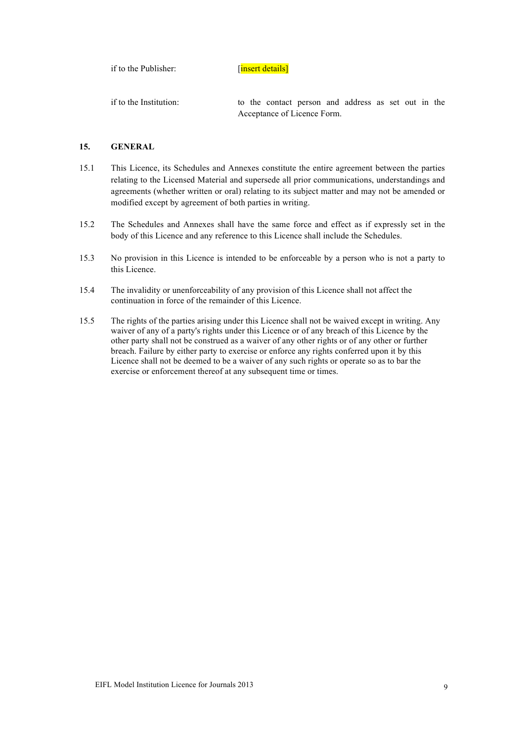if to the Publisher: [insert details]

if to the Institution: to the contact person and address as set out in the Acceptance of Licence Form.

## **15. GENERAL**

- 15.1 This Licence, its Schedules and Annexes constitute the entire agreement between the parties relating to the Licensed Material and supersede all prior communications, understandings and agreements (whether written or oral) relating to its subject matter and may not be amended or modified except by agreement of both parties in writing.
- 15.2 The Schedules and Annexes shall have the same force and effect as if expressly set in the body of this Licence and any reference to this Licence shall include the Schedules.
- 15.3 No provision in this Licence is intended to be enforceable by a person who is not a party to this Licence.
- 15.4 The invalidity or unenforceability of any provision of this Licence shall not affect the continuation in force of the remainder of this Licence.
- 15.5 The rights of the parties arising under this Licence shall not be waived except in writing. Any waiver of any of a party's rights under this Licence or of any breach of this Licence by the other party shall not be construed as a waiver of any other rights or of any other or further breach. Failure by either party to exercise or enforce any rights conferred upon it by this Licence shall not be deemed to be a waiver of any such rights or operate so as to bar the exercise or enforcement thereof at any subsequent time or times.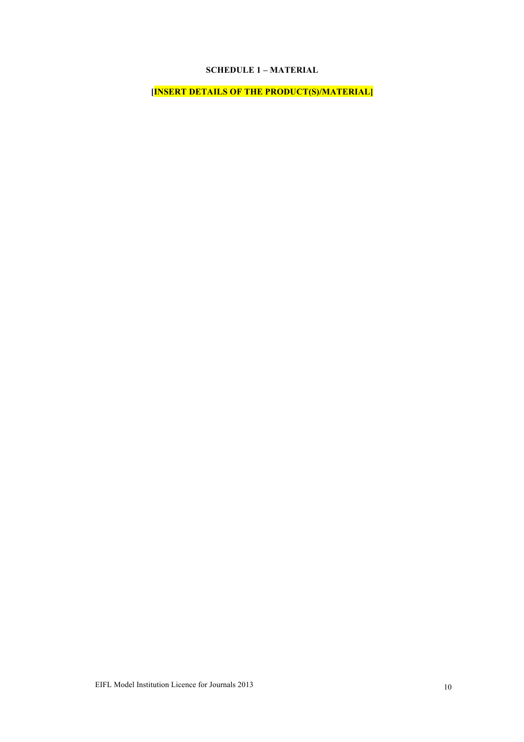## **SCHEDULE 1 – MATERIAL**

**[INSERT DETAILS OF THE PRODUCT(S)/MATERIAL]**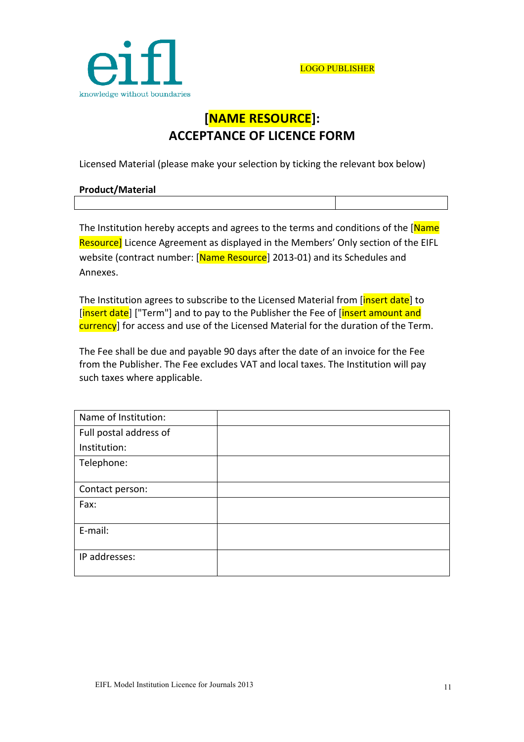

# **[NAME!RESOURCE]: ACCEPTANCE OF LICENCE FORM**

Licensed Material (please make your selection by ticking the relevant box below)

| <b>Product/Material</b> |  |
|-------------------------|--|
|                         |  |

The Institution hereby accepts and agrees to the terms and conditions of the [Name] Resource] Licence Agreement as displayed in the Members' Only section of the EIFL website (contract number: [Name Resource] 2013-01) and its Schedules and Annexes.

The Institution agrees to subscribe to the Licensed Material from [insert date] to [insert date] ["Term"] and to pay to the Publisher the Fee of [insert amount and currency] for access and use of the Licensed Material for the duration of the Term.

The Fee shall be due and payable 90 days after the date of an invoice for the Fee from the Publisher. The Fee excludes VAT and local taxes. The Institution will pay such taxes where applicable.

| Name of Institution:   |  |
|------------------------|--|
| Full postal address of |  |
| Institution:           |  |
| Telephone:             |  |
|                        |  |
| Contact person:        |  |
| Fax:                   |  |
| E-mail:                |  |
| IP addresses:          |  |